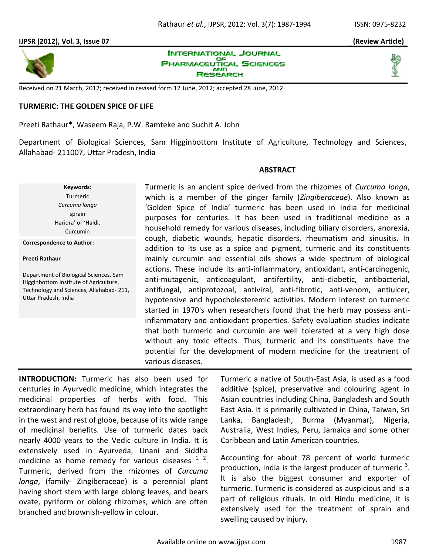

**INTERNATIONAL JOURNAL PHARMACEUTICAL SCIENCES AND** RESEARCH

Received on 21 March, 2012; received in revised form 12 June, 2012; accepted 28 June, 2012

## **TURMERIC: THE GOLDEN SPICE OF LIFE**

Preeti Rathaur\*, Waseem Raja, P.W. Ramteke and Suchit A. John

Department of Biological Sciences, Sam Higginbottom Institute of Agriculture, Technology and Sciences, Allahabad- 211007, Uttar Pradesh, India

## **ABSTRACT**

Turmeric is an ancient spice derived from the rhizomes of *Curcuma longa*, which is a member of the ginger family (*Zingiberaceae*). Also known as 'Golden Spice of India' turmeric has been used in India for medicinal purposes for centuries. It has been used in traditional medicine as a household remedy for various diseases, including biliary disorders, anorexia, cough, diabetic wounds, hepatic disorders, rheumatism and sinusitis. In addition to its use as a spice and pigment, turmeric and its constituents mainly curcumin and essential oils shows a wide spectrum of biological actions. These include its anti-inflammatory, antioxidant, anti-carcinogenic, anti-mutagenic, anticoagulant, antifertility, anti-diabetic, antibacterial, antifungal, antiprotozoal, antiviral, anti-fibrotic, anti-venom, antiulcer, hypotensive and hypocholesteremic activities. Modern interest on turmeric started in 1970's when researchers found that the herb may possess antiinflammatory and antioxidant properties. Safety evaluation studies indicate that both turmeric and curcumin are well tolerated at a very high dose without any toxic effects. Thus, turmeric and its constituents have the potential for the development of modern medicine for the treatment of various diseases.

Department of Biological Sciences, Sam Higginbottom Institute of Agriculture, Technology and Sciences, Allahabad- 211, Uttar Pradesh, India

**Correspondence to Author:**

**Preeti Rathaur** 

**Keywords**: Turmeric *Curcuma longa* sprain Haridra' or 'Haldi, Curcumin

**INTRODUCTION:** Turmeric has also been used for centuries in Ayurvedic medicine, which integrates the medicinal properties of herbs with food. This extraordinary herb has found its way into the spotlight in the west and rest of globe, because of its wide range of medicinal benefits. Use of turmeric dates back nearly 4000 years to the Vedic culture in India. It is extensively used in Ayurveda, Unani and Siddha medicine as home remedy for various diseases  $1/2$ . Turmeric, derived from the rhizomes of *Curcuma longa*, (family- Zingiberaceae) is a perennial plant having short stem with large oblong leaves, and bears ovate, pyriform or oblong rhizomes, which are often branched and brownish-yellow in colour.

Turmeric a native of South-East Asia, is used as a food additive (spice), preservative and colouring agent in Asian countries including China, Bangladesh and South East Asia. It is primarily cultivated in China, Taiwan, Sri Lanka, Bangladesh, Burma (Myanmar), Nigeria, Australia, West Indies, Peru, Jamaica and some other Caribbean and Latin American countries.

Accounting for about 78 percent of world turmeric production, India is the largest producer of turmeric  $3$ . It is also the biggest consumer and exporter of turmeric. Turmeric is considered as auspicious and is a part of religious rituals. In old Hindu medicine, it is extensively used for the treatment of sprain and swelling caused by injury.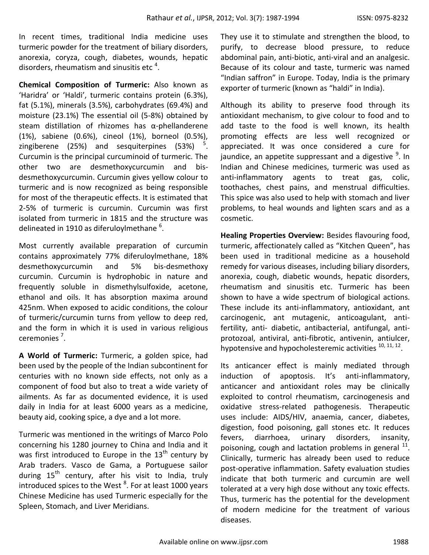In recent times, traditional India medicine uses turmeric powder for the treatment of biliary disorders, anorexia, coryza, cough, diabetes, wounds, hepatic disorders, rheumatism and sinusitis etc  $4$ .

**Chemical Composition of Turmeric:** Also known as 'Haridra' or 'Haldi', turmeric contains protein (6.3%), fat (5.1%), minerals (3.5%), carbohydrates (69.4%) and moisture (23.1%) The essential oil (5-8%) obtained by steam distillation of rhizomes has α-phellanderene (1%), sabiene (0.6%), cineol (1%), borneol (0.5%), zingiberene (25%) and sesquiterpines (53%) . Curcumin is the principal curcuminoid of turmeric. The other two are desmethoxycurcumin and bisdesmethoxycurcumin. Curcumin gives yellow colour to turmeric and is now recognized as being responsible for most of the therapeutic effects. It is estimated that 2-5% of turmeric is curcumin. Curcumin was first isolated from turmeric in 1815 and the structure was delineated in 1910 as diferuloylmethane  $^6$ .

Most currently available preparation of curcumin contains approximately 77% diferuloylmethane, 18% desmethoxycurcumin and 5% bis-desmethoxy curcumin. Curcumin is hydrophobic in nature and frequently soluble in dismethylsulfoxide, acetone, ethanol and oils. It has absorption maxima around 425nm. When exposed to acidic conditions, the colour of turmeric/curcumin turns from yellow to deep red, and the form in which it is used in various religious ceremonies<sup>7</sup>.

**A World of Turmeric:** Turmeric, a golden spice, had been used by the people of the Indian subcontinent for centuries with no known side effects, not only as a component of food but also to treat a wide variety of ailments. As far as documented evidence, it is used daily in India for at least 6000 years as a medicine, beauty aid, cooking spice, a dye and a lot more.

Turmeric was mentioned in the writings of Marco Polo concerning his 1280 journey to China and India and it was first introduced to Europe in the  $13<sup>th</sup>$  century by Arab traders. Vasco de Gama, a Portuguese sailor during 15<sup>th</sup> century, after his visit to India, truly introduced spices to the West  $^8$ . For at least 1000 years Chinese Medicine has used Turmeric especially for the Spleen, Stomach, and Liver Meridians.

They use it to stimulate and strengthen the blood, to purify, to decrease blood pressure, to reduce abdominal pain, anti-biotic, anti-viral and an analgesic. Because of its colour and taste, turmeric was named "Indian saffron" in Europe. Today, India is the primary exporter of turmeric (known as "haldi" in India).

Although its ability to preserve food through its antioxidant mechanism, to give colour to food and to add taste to the food is well known, its health promoting effects are less well recognized or appreciated. It was once considered a cure for jaundice, an appetite suppressant and a digestive  $9$ . In Indian and Chinese medicines, turmeric was used as anti-inflammatory agents to treat gas, colic, toothaches, chest pains, and menstrual difficulties. This spice was also used to help with stomach and liver problems, to heal wounds and lighten scars and as a cosmetic.

**Healing Properties Overview:** Besides flavouring food, turmeric, affectionately called as "Kitchen Queen", has been used in traditional medicine as a household remedy for various diseases, including biliary disorders, anorexia, cough, diabetic wounds, hepatic disorders, rheumatism and sinusitis etc. Turmeric has been shown to have a wide spectrum of biological actions. These include its anti-inflammatory, antioxidant, ant carcinogenic, ant mutagenic, anticoagulant, antifertility, anti- diabetic, antibacterial, antifungal, antiprotozoal, antiviral, anti-fibrotic, antivenin, antiulcer, hypotensive and hypocholesteremic activities  $^{10, 11, 12}$ .

Its anticancer effect is mainly mediated through induction of apoptosis. It's anti-inflammatory, anticancer and antioxidant roles may be clinically exploited to control rheumatism, carcinogenesis and oxidative stress-related pathogenesis. Therapeutic uses include: AIDS/HIV, anaemia, cancer, diabetes, digestion, food poisoning, gall stones etc. It reduces fevers, diarrhoea, urinary disorders, insanity, poisoning, cough and lactation problems in general  $^{11}$ . Clinically, turmeric has already been used to reduce post-operative inflammation. Safety evaluation studies indicate that both turmeric and curcumin are well tolerated at a very high dose without any toxic effects. Thus, turmeric has the potential for the development of modern medicine for the treatment of various diseases.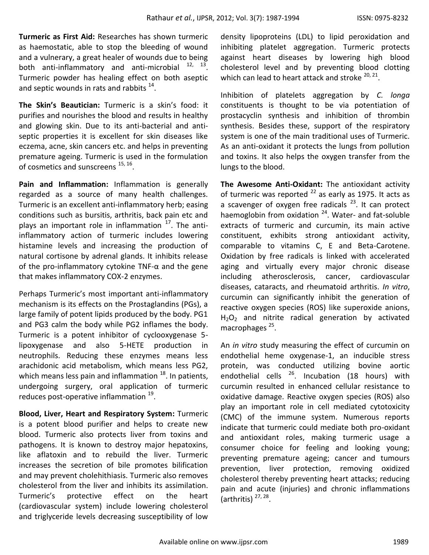**Turmeric as First Aid:** Researches has shown turmeric as haemostatic, able to stop the bleeding of wound and a vulnerary, a great healer of wounds due to being both anti-inflammatory and anti-microbial  $12, 13$ . Turmeric powder has healing effect on both aseptic and septic wounds in rats and rabbits  $^{14}$ .

**The Skin's Beautician:** Turmeric is a skin's food: it purifies and nourishes the blood and results in healthy and glowing skin. Due to its anti-bacterial and antiseptic properties it is excellent for skin diseases like eczema, acne, skin cancers etc. and helps in preventing premature ageing. Turmeric is used in the formulation of cosmetics and sunscreens <sup>15, 16</sup>.

**Pain and Inflammation:** Inflammation is generally regarded as a source of many health challenges. Turmeric is an excellent anti-inflammatory herb; easing conditions such as bursitis, arthritis, back pain etc and plays an important role in inflammation <sup>17</sup>. The antiinflammatory action of turmeric includes lowering histamine levels and increasing the production of natural cortisone by adrenal glands. It inhibits release of the pro-inflammatory cytokine TNF-α and the gene that makes inflammatory COX-2 enzymes.

Perhaps Turmeric's most important anti-inflammatory mechanism is its effects on the Prostaglandins (PGs), a large family of potent lipids produced by the body. PG1 and PG3 calm the body while PG2 inflames the body. Turmeric is a potent inhibitor of cyclooxygenase 5 lipoxygenase and also 5-HETE production in neutrophils. Reducing these enzymes means less arachidonic acid metabolism, which means less PG2, which means less pain and inflammation  $18$ . In patients, undergoing surgery, oral application of turmeric reduces post-operative inflammation <sup>19</sup>.

**Blood, Liver, Heart and Respiratory System:** Turmeric is a potent blood purifier and helps to create new blood. Turmeric also protects liver from toxins and pathogens. It is known to destroy major hepatoxins, like aflatoxin and to rebuild the liver. Turmeric increases the secretion of bile promotes bilification and may prevent cholehithiasis. Turmeric also removes cholesterol from the liver and inhibits its assimilation. Turmeric's protective effect on the heart (cardiovascular system) include lowering cholesterol and triglyceride levels decreasing susceptibility of low

density lipoproteins (LDL) to lipid peroxidation and inhibiting platelet aggregation. Turmeric protects against heart diseases by lowering high blood cholesterol level and by preventing blood clotting which can lead to heart attack and stroke  $^{20, 21}$ .

Inhibition of platelets aggregation by *C. longa* constituents is thought to be via potentiation of prostacyclin synthesis and inhibition of thrombin synthesis. Besides these, support of the respiratory system is one of the main traditional uses of Turmeric. As an anti-oxidant it protects the lungs from pollution and toxins. It also helps the oxygen transfer from the lungs to the blood.

**The Awesome Anti-Oxidant:** The antioxidant activity of turmeric was reported  $^{22}$  as early as 1975. It acts as a scavenger of oxygen free radicals  $^{23}$ . It can protect haemoglobin from oxidation  $24$ . Water- and fat-soluble extracts of turmeric and curcumin, its main active constituent, exhibits strong antioxidant activity, comparable to vitamins C, E and Beta-Carotene. Oxidation by free radicals is linked with accelerated aging and virtually every major chronic disease including atherosclerosis, cancer, cardiovascular diseases, cataracts, and rheumatoid arthritis. *In vitro*, curcumin can significantly inhibit the generation of reactive oxygen species (ROS) like superoxide anions,  $H<sub>2</sub>O<sub>2</sub>$  and nitrite radical generation by activated macrophages<sup>25</sup>.

An *in vitro* study measuring the effect of curcumin on endothelial heme oxygenase-1, an inducible stress protein, was conducted utilizing bovine aortic endothelial cells <sup>26</sup>. Incubation (18 hours) with curcumin resulted in enhanced cellular resistance to oxidative damage. Reactive oxygen species (ROS) also play an important role in cell mediated cytotoxicity (CMC) of the immune system. Numerous reports indicate that turmeric could mediate both pro-oxidant and antioxidant roles, making turmeric usage a consumer choice for feeling and looking young; preventing premature ageing; cancer and tumours prevention, liver protection, removing oxidized cholesterol thereby preventing heart attacks; reducing pain and acute (injuries) and chronic inflammations (arthritis)  $27, 28$ .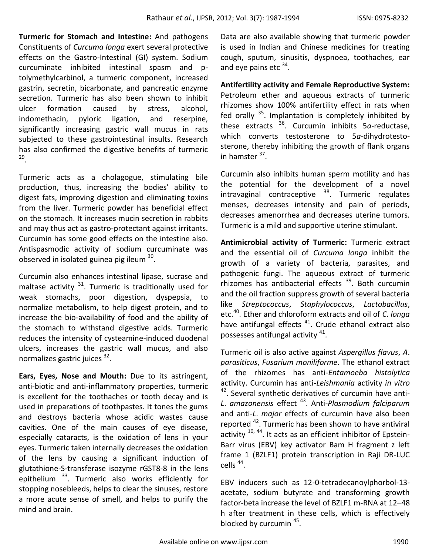**Turmeric for Stomach and Intestine:** And pathogens Constituents of *Curcuma longa* exert several protective effects on the Gastro-Intestinal (GI) system. Sodium curcuminate inhibited intestinal spasm and ptolymethylcarbinol, a turmeric component, increased gastrin, secretin, bicarbonate, and pancreatic enzyme secretion. Turmeric has also been shown to inhibit ulcer formation caused by stress, alcohol, indomethacin, pyloric ligation, and reserpine, significantly increasing gastric wall mucus in rats subjected to these gastrointestinal insults. Research has also confirmed the digestive benefits of turmeric 29 .

Turmeric acts as a cholagogue, stimulating bile production, thus, increasing the bodies' ability to digest fats, improving digestion and eliminating toxins from the liver. Turmeric powder has beneficial effect on the stomach. It increases mucin secretion in rabbits and may thus act as gastro-protectant against irritants. Curcumin has some good effects on the intestine also. Antispasmodic activity of sodium curcuminate was observed in isolated guinea pig ileum <sup>30</sup>.

Curcumin also enhances intestinal lipase, sucrase and maltase activity  $31$ . Turmeric is traditionally used for weak stomachs, poor digestion, dyspepsia, to normalize metabolism, to help digest protein, and to increase the bio-availability of food and the ability of the stomach to withstand digestive acids. Turmeric reduces the intensity of cysteamine-induced duodenal ulcers, increases the gastric wall mucus, and also normalizes gastric juices <sup>32</sup>.

**Ears, Eyes, Nose and Mouth:** Due to its astringent, anti-biotic and anti-inflammatory properties, turmeric is excellent for the toothaches or tooth decay and is used in preparations of toothpastes. It tones the gums and destroys bacteria whose acidic wastes cause cavities. One of the main causes of eye disease, especially cataracts, is the oxidation of lens in your eyes. Turmeric taken internally decreases the oxidation of the lens by causing a significant induction of glutathione-S-transferase isozyme rGST8-8 in the lens epithelium <sup>33</sup>. Turmeric also works efficiently for stopping nosebleeds, helps to clear the sinuses, restore a more acute sense of smell, and helps to purify the mind and brain.

Data are also available showing that turmeric powder is used in Indian and Chinese medicines for treating cough, sputum, sinusitis, dyspnoea, toothaches, ear and eye pains etc <sup>34</sup>.

**Antifertility activity and Female Reproductive System:**  Petroleum ether and aqueous extracts of turmeric rhizomes show 100% antifertility effect in rats when fed orally  $35$ . Implantation is completely inhibited by these extracts <sup>36</sup>. Curcumin inhibits 5*a*-reductase, which converts testosterone to 5*a*-dihydrotestosterone, thereby inhibiting the growth of flank organs in hamster <sup>37</sup>.

Curcumin also inhibits human sperm motility and has the potential for the development of a novel intravaginal contraceptive <sup>38</sup>. Turmeric regulates menses, decreases intensity and pain of periods, decreases amenorrhea and decreases uterine tumors. Turmeric is a mild and supportive uterine stimulant.

**Antimicrobial activity of Turmeric:** Turmeric extract and the essential oil of *Curcuma longa* inhibit the growth of a variety of bacteria, parasites, and pathogenic fungi. The aqueous extract of turmeric rhizomes has antibacterial effects <sup>39</sup>. Both curcumin and the oil fraction suppress growth of several bacteria like *Streptococcus*, *Staphylococcus*, *Lactobacillus*, etc.<sup>40</sup>. Ether and chloroform extracts and oil of *C*. *longa*  have antifungal effects<sup>41</sup>. Crude ethanol extract also possesses antifungal activity <sup>41</sup>.

Turmeric oil is also active against *Aspergillus flavus*, *A*. *parasiticus*, *Fusarium moniliforme*. The ethanol extract of the rhizomes has anti-*Entamoeba histolytica*  activity. Curcumin has anti-*Leishmania* activity *in vitro* <sup>42</sup>. Several synthetic derivatives of curcumin have anti-*L*. *amazonensis* effect <sup>43</sup>. Anti-*Plasmodium falciparum* and anti-*L*. *major* effects of curcumin have also been reported <sup>42</sup>. Turmeric has been shown to have antiviral activity  $10, 44$ . It acts as an efficient inhibitor of Epstein-Barr virus (EBV) key activator Bam H fragment z left frame 1 (BZLF1) protein transcription in Raji DR-LUC cells  $44$ .

EBV inducers such as 12-0-tetradecanoylphorbol-13 acetate, sodium butyrate and transforming growth factor-beta increase the level of BZLF1 m-RNA at 12–48 h after treatment in these cells, which is effectively blocked by curcumin <sup>45</sup>.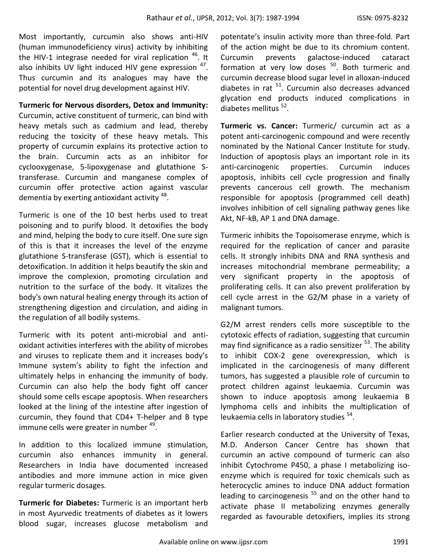Most importantly, curcumin also shows anti-HIV (human immunodeficiency virus) activity by inhibiting the HIV-1 integrase needed for viral replication  $46$ . It also inhibits UV light induced HIV gene expression  $47$ . Thus curcumin and its analogues may have the potential for novel drug development against HIV.

**Turmeric for Nervous disorders, Detox and Immunity:**  Curcumin, active constituent of turmeric, can bind with heavy metals such as cadmium and lead, thereby reducing the toxicity of these heavy metals. This property of curcumin explains its protective action to the brain. Curcumin acts as an inhibitor for cyclooxygenase, 5-lipoxygenase and glutathione Stransferase. Curcumin and manganese complex of curcumin offer protective action against vascular dementia by exerting antioxidant activity <sup>48</sup>.

Turmeric is one of the 10 best herbs used to treat poisoning and to purify blood. It detoxifies the body and mind, helping the body to cure itself. One sure sign of this is that it increases the level of the enzyme glutathione S-transferase (GST), which is essential to detoxification. In addition it helps beautify the skin and improve the complexion, promoting circulation and nutrition to the surface of the body. It vitalizes the body's own natural healing energy through its action of strengthening digestion and circulation, and aiding in the regulation of all bodily systems.

Turmeric with its potent anti-microbial and antioxidant activities interferes with the ability of microbes and viruses to replicate them and it increases body's Immune system's ability to fight the infection and ultimately helps in enhancing the immunity of body. Curcumin can also help the body fight off cancer should some cells escape apoptosis. When researchers looked at the lining of the intestine after ingestion of curcumin, they found that CD4+ T-helper and B type immune cells were greater in number <sup>49</sup>.

In addition to this localized immune stimulation, curcumin also enhances immunity in general. Researchers in India have documented increased antibodies and more immune action in mice given regular turmeric dosages.

**Turmeric for Diabetes:** Turmeric is an important herb in most Ayurvedic treatments of diabetes as it lowers blood sugar, increases glucose metabolism and

potentate's insulin activity more than three-fold. Part of the action might be due to its chromium content. Curcumin prevents galactose-induced cataract formation at very low doses <sup>50</sup>. Both turmeric and curcumin decrease blood sugar level in alloxan-induced diabetes in rat <sup>51</sup>. Curcumin also decreases advanced glycation end products induced complications in diabetes mellitus <sup>52</sup>.

**Turmeric vs. Cancer:** Turmeric/ curcumin act as a potent anti-carcinogenic compound and were recently nominated by the National Cancer Institute for study. Induction of apoptosis plays an important role in its anti-carcinogenic properties. Curcumin induces apoptosis, inhibits cell cycle progression and finally prevents cancerous cell growth. The mechanism responsible for apoptosis (programmed cell death) involves inhibition of cell signaling pathway genes like Akt, NF-kB, AP 1 and DNA damage.

Turmeric inhibits the Topoisomerase enzyme, which is required for the replication of cancer and parasite cells. It strongly inhibits DNA and RNA synthesis and increases mitochondrial membrane permeability; a very significant property in the apoptosis of proliferating cells. It can also prevent proliferation by cell cycle arrest in the G2/M phase in a variety of malignant tumors.

G2/M arrest renders cells more susceptible to the cytotoxic effects of radiation, suggesting that curcumin may find significance as a radio sensitizer <sup>53</sup>. The ability to inhibit COX-2 gene overexpression, which is implicated in the carcinogenesis of many different tumors, has suggested a plausible role of curcumin to protect children against leukaemia. Curcumin was shown to induce apoptosis among leukaemia B lymphoma cells and inhibits the multiplication of leukaemia cells in laboratory studies <sup>54</sup>.

Earlier research conducted at the University of Texas, M.D. Anderson Cancer Centre has shown that curcumin an active compound of turmeric can also inhibit Cytochrome P450, a phase I metabolizing isoenzyme which is required for toxic chemicals such as heterocyclic amines to induce DNA adduct formation leading to carcinogenesis  $55$  and on the other hand to activate phase II metabolizing enzymes generally regarded as favourable detoxifiers, implies its strong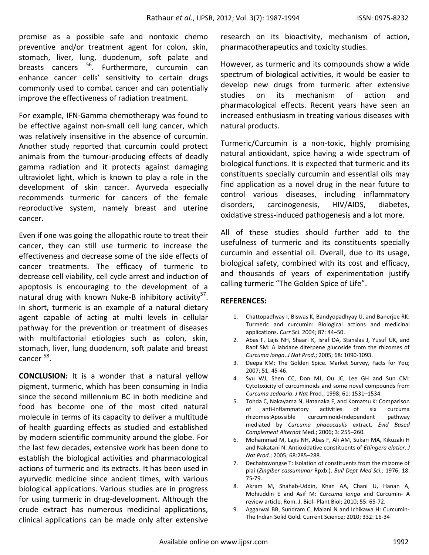promise as a possible safe and nontoxic chemo preventive and/or treatment agent for colon, skin, stomach, liver, lung, duodenum, soft palate and breasts cancers <sup>56</sup>. Furthermore, curcumin can enhance cancer cells' sensitivity to certain drugs commonly used to combat cancer and can potentially improve the effectiveness of radiation treatment.

For example, IFN-Gamma chemotherapy was found to be effective against non-small cell lung cancer, which was relatively insensitive in the absence of curcumin. Another study reported that curcumin could protect animals from the tumour-producing effects of deadly gamma radiation and it protects against damaging ultraviolet light, which is known to play a role in the development of skin cancer. Ayurveda especially recommends turmeric for cancers of the female reproductive system, namely breast and uterine cancer.

Even if one was going the allopathic route to treat their cancer, they can still use turmeric to increase the effectiveness and decrease some of the side effects of cancer treatments. The efficacy of turmeric to decrease cell viability, cell cycle arrest and induction of apoptosis is encouraging to the development of a natural drug with known Nuke-B inhibitory activity<sup>57</sup>. In short, turmeric is an example of a natural dietary agent capable of acting at multi levels in cellular pathway for the prevention or treatment of diseases with multifactorial etiologies such as colon, skin, stomach, liver, lung duodenum, soft palate and breast cancer <sup>58</sup>.

**CONCLUSION:** It is a wonder that a natural yellow pigment, turmeric, which has been consuming in India since the second millennium BC in both medicine and food has become one of the most cited natural molecule in terms of its capacity to deliver a multitude of health guarding effects as studied and established by modern scientific community around the globe. For the last few decades, extensive work has been done to establish the biological activities and pharmacological actions of turmeric and its extracts. It has been used in ayurvedic medicine since ancient times, with various biological applications. Various studies are in progress for using turmeric in drug-development. Although the crude extract has numerous medicinal applications, clinical applications can be made only after extensive

research on its bioactivity, mechanism of action, pharmacotherapeutics and toxicity studies.

However, as turmeric and its compounds show a wide spectrum of biological activities, it would be easier to develop new drugs from turmeric after extensive studies on its mechanism of action and pharmacological effects. Recent years have seen an increased enthusiasm in treating various diseases with natural products.

Turmeric/Curcumin is a non-toxic, highly promising natural antioxidant, spice having a wide spectrum of biological functions. It is expected that turmeric and its constituents specially curcumin and essential oils may find application as a novel drug in the near future to control various diseases, including inflammatory disorders, carcinogenesis, HIV/AIDS, diabetes, oxidative stress-induced pathogenesis and a lot more.

All of these studies should further add to the usefulness of turmeric and its constituents specially curcumin and essential oil. Overall, due to its usage, biological safety, combined with its cost and efficacy, and thousands of years of experimentation justify calling turmeric "The Golden Spice of Life".

## **REFERENCES:**

- 1. Chattopadhyay I, Biswas K, Bandyopadhyay U, and Banerjee RK: Turmeric and curcumin: Biological actions and medicinal applications. *Curr* Sci. 2004; 87: 44–50.
- 2. Abas F, Lajis NH, Shaari K, Israf DA, Stanslas J, Yusuf UK, and Raof SM: A labdane diterpene glucoside from the rhizomes of *Curcuma longa*. *J Nat Prod*.; 2005; 68: 1090-1093.
- 3. Deepa KM: The Golden Spice. Market Survey, Facts for You; 2007; 51: 45-46.
- 4. Syu WJ, Shen CC, Don MJ, Ou JC, Lee GH and Sun CM: Cytotoxicity of curcuminoids and some novel compounds from *Curcuma zedoaria*. *J Nat* Prod.; 1998; 61: 1531–1534.
- 5. Tohda C, Nakayama N, Hatanaka F, and Komatsu K: Comparison of anti-inflammatory activities of six curcuma rhizomes:Apossible curcuminoid-independent pathway mediated by *Curcuma phaeocaulis* extract. *Evid Based Complement Alternat* Med.; 2006; 3: 255–260.
- 6. Mohammad M, Lajis NH, Abas F, Ali AM, Sukari MA, Kikuzaki H and Nakatani N: Antioxidative constituents of *Etlingera elatior*. *J Nat Prod*.; 2005; 68:285–288.
- 7. Dechatowongse T: Isolation of constituents from the rhizome of plai (*Zingiber cassumunar* Rpxb.). *Bull Dept Med Sci.;* 1976; 18: 75-79.
- 8. Akram M, Shahab-Uddin, Khan AA, Chani U, Hanan A, Mohiuddin E and Asif M: *Curcuma longa* and Curcumin- A review article. Rom. J. Biol- Plant Biol; 2010; 55: 65-72.
- 9. Aggarwal BB, Sundram C, Malani N and Ichikawa H: Curcumin-The Indian Solid Gold. Current Science; 2010; 332: 16-34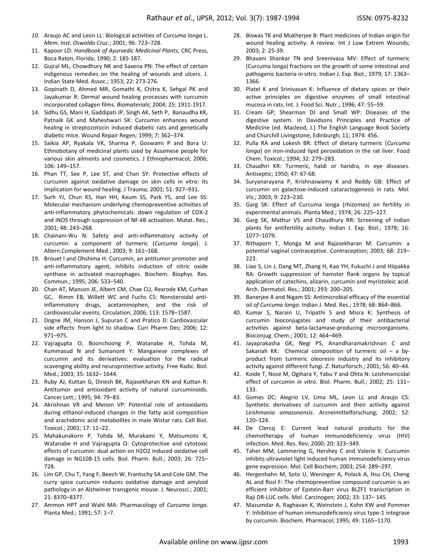- *10.* Araujo AC and Leon LL: Biological activities of *Curcuma longa* L. *Mem*. *Inst*. *Oswaldo Cruz*.; 2001; 96: 723–728.
- 11. Kapoor LD: *Handbook of Ayurvedic Medicinal Plants*, CRC Press, Boca Raton, Florida; 1990; 2: 185-187.
- 12. Gujral ML, Chowdhury NK and Saxena PN: The effect of certain indigenous remedies on the healing of wounds and ulcers. J. Indian State Med. Assoc.; 1953; 22: 273-276.
- 13. Gopinath D, Ahmed MR, Gomathi K, Chitra K, Sehgal PK and Jayakumar R: Dermal wound healing processes with curcumin incorporated collagen films. *Biomaterials*; 2004; 25: 1911-1917.
- 14. Sidhu GS, Mani H, Gaddipati JP, Singh AK, Seth P, Banaudha KK, Patnaik GK and Maheshwari SK: Curcumin enhances wound healing in streptozotocin induced diabetic rats and genetically diabetic mice. Wound Repair Regen*;* 1999; 7**:** 362–374.
- 15. Saikia AP, Ryakala VK, Sharma P, Goswami P and Bora U: Ethnobotany of medicinal plants used by Assamese people for various skin ailments and cosmetics. J Ethnopharmacol; 2006; 106: 149–157.
- 16. Phan TT, See P, Lee ST, and Chan SY: Protective effects of curcumin against oxidative damage on skin cells in vitro: its implication for wound healing. J Trauma; 2001; 51: 927–931.
- 17. Surh YJ, Chun KS, Han HH, Keum SS, Park YS, and Lee SS: Molecular mechanism underlying chemopreventive activities of anti-inflammatory phytochemicals: down regulation of COX-2 and iNOS through suppression of NF-*k*B activation. Mutat. Res.; 2001; 48: 243–268.
- 18. Chainani-Wu N: Safety and anti-inflammatory activity of curcumin: a component of turmeric (*Curcuma longa*). J. Altern.Complement Med.; 2003; 9: 161–168.
- 19. Brouet I and Ohshima H: Curcumin, an antitumor promoter and anti-inflammatory agent, inhibits induction of nitric oxide synthase in activated macrophages. Biochem. Biophys. Res. Commun.; 1995; 206: 533–540.
- 20. Chan AT, Manson JE, Albert CM, Chae CU, Rexrode KM, Curhan GC, Rimm EB, Willett WC and Fuchs CS: Nonsteroidal antiinflammatory drugs, acetaminophen, and the risk of cardiovascular events. Circulation; 2006; 113: 1578–1587.
- 21. Dogne JM, Hanson J, Supuran C and Pratico D: Cardiovascular side effects: from light to shadow. Curr Pharm Des; 2006; 12: 971–975.
- 22. Vajragupta O, Boonchoong P, Watanabe H, Tohda M, Kummasud N and Sumanont Y: Manganese complexes of curcumin and its derivatives: evaluation for the radical scavenging ability and neuroprotective activity. Free Radic. Biol. Med.; 2003; 35: 1632– 1644.
- 23. Ruby AJ, Kuttan G, Dinesh BK, Rajasekharan KN and Kuttan R: Antitumor and antioxidant activity of natural curcuminoids. Cancer Lett.; 1995; 94: 79–83.
- 24. Akrishnan VR and Menon VP: Potential role of antioxidants during ethanol-induced changes in the fatty acid composition and arachidonic acid metabolites in male Wistar rats. Cell Biol. Toxicol.; 2001; 17: 11–22.
- 25. Mahakunakorn P, Tohda M, Murakami Y, Matsumoto K, Watanabe H and Vajragupta O: Cytoprotective and cytotoxic effects of curcumin: dual action on H2O2 induced oxidative cell damage in NG108-15 cells. Biol. Pharm. Bull.; 2003; 26: 725– 728.
- 26. Lim GP, Chu T, Yang F, Beech W, Frantschy SA and Cole GM: The curry spice curcumin reduces oxidative damage and amyloid pathology in an Alzheimer transgenic mouse. J. Neurosci.; 2001; 21: 8370–8377.
- 27. Ammon HPT and Wahl MA: Pharmacology of *Curcuma longa*. Planta Med.; 1991; 57: 1–7.
- 28. Biswas TK and Mukherjee B: Plant medicines of Indian origin for wound healing activity: A review. Int J Low Extrem Wounds; 2003; 2: 25-39.
- 29. Bhavani Shankar TN and Sreenivasa MV: Effect of turmeric (Curcuma longa) fractions on the growth of some intestinal and pathogenic bacteria in vitro. Indian J. Exp. Biol.; 1979; 17: 1363– 1366.
- 30. Platel K and Srinivasan K: Influence of dietary spices or their active principles on digestive enzymes of small intestinal mucosa in rats. Int. J. Food Sci. Nutr.; 1996; 47: 55–59.
- 31. Cream GP; Shearman DJ and Small WP: Diseases of the digestive system. In Davidsons Principles and Practice of Medicine (ed. Macleod, J.) The English Language Book Society and Churchill Livingstone, Edinburgh; 11; 1974: 456.
- 32. Pulla RA and Lokesh BR: Effect of dietary turmeric (*Curcuma longa*) on iron-induced lipid peroxidation in the rat liver. Food Chem. Toxicol.; 1994; 32: 279–283.
- 33. Chaudhri KR: Turmeric, haldi or haridra, in eye diseases. Antiseptic; 1950; 47: 67-68.
- 34. Suryanarayana P, Krishnaswamy K and Reddy GB: Effect of curcumin on galactose-induced cataractogenesis in rats*. Mol. Vis.;* 2003; 9: 223–230.
- 35. Garg SK: Effect of Curcuma longa (rhizomes) on fertility in experimental animals. Planta Med.; 1974; 26: 225–227.
- 36. Garg SK, Mathur VS and Chaudhury RR: Screening of Indian plants for antifertility activity. Indian J. Exp. Biol.; 1978; 16: 1077–1079.
- 37. Rithaporn T, Monga M and Rajasekharan M: Curcumin: a potential vaginal contraceptive. Contraception; 2003; 68: 219– 223.
- 38. Liao S, Lin J, Dang MT, Zhang H, Kao YH, Fukuchi J and Hiipakka RA: Growth suppression of hamster flank organs by topical application of catechins, alizarin, curcumin and myristoleic acid. Arch. Dermatol. Res.; 2001; 293: 200–205.
- 39. Banerjee A and Nigam SS: Antimicrobial efficacy of the essential oil *of Curcuma longa*. Indian J. Med. Res.; 1978; 68: 864–866.
- 40. Kumar S, Narain U, Tripathi S and Misra K: Synthesis of curcumin bioconjugates and study of their antibacterial activities against beta-lactamase-producing microorganisms. Bioconjug. Chem.; 2001; 12: 464–469.
- 41. Jayaprakasha GK, Negi PS, Anandharamakrishnan C and Sakariah KK: Chemical composition of turmeric oil  $-$  a byproduct from turmeric oleoresin industry and its inhibitory activity against different fungi. *Z*. Naturforsch.; 2001; 56: 40–44.
- 42. Koide T, Nose M, Ogihara Y, Yabu Y and Ohta N: Leishmanicidal effect of curcumin *in vitro*. Biol. Pharm. Bull.; 2002; 25: 131– 133.
- 43. Gomes DC; Alegrio LV, Lima ML, Leon LL and Araujo CS: Synthetic derivatives of curcumin and their activity against *Leishmania amazonensis*. Arzneimittelforschung; 2002; 52: 120–124.
- 44. De Clercq E: Current lead natural products for the chemotherapy of human immunodeficiency virus (HIV) infection. Med. Res. Rev; 2000; 20: 323–349.
- 45. Taher MM, Lammering G, Hershey C and Valerie K: Curcumin inhibits ultraviolet light induced human immunodeficiency virus gene expression. Mol. Cell Biochem; 2003; 254: 289–297.
- 46. Hergenhahn M, Soto U, Weninger A, Polack A, Hsu CH, Cheng AL and Rosl F: The chemopreventive compound curcumin is an efficient inhibitor of Epstein-Barr virus BLZF1 transcription in Raji DR-LUC cells. Mol. Carcinogen; 2002; 33: 137– 145.
- 47. Mazumdar A, Raghavan K, Weinstein J, Kohn KW and Pommer Y: Inhibition of human immunodeficiency virus type-1 integrase by curcumin. Biochem. Pharmacol; 1995; 49: 1165–1170.